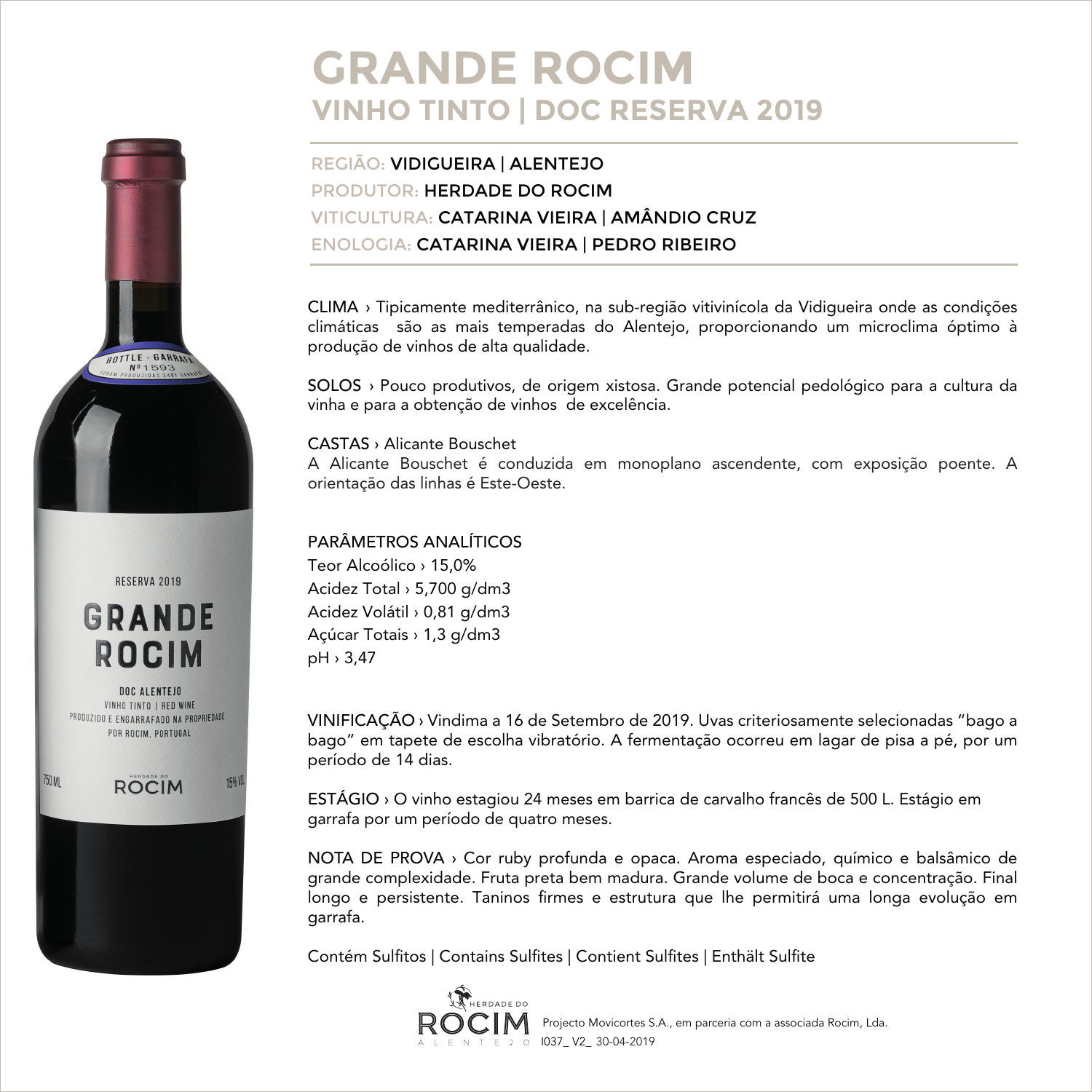# **GRANDE ROCIM VINHO TINTO | DOC RESERVA 2019**

### REGIÃO: VIDIGUEIRA | ALENTEJO PRODUTOR: HERDADE DO ROCIM VITICULTURA: CATARINA VIEIRA | AMÂNDIO CRUZ ENOLOGIA: CATARINA VIEIRA | PEDRO RIBEIRO

CLIMA › Tipicamente mediterrânico, na sub-região vitivinícola da Vidigueira onde as condições climáticas são as mais temperadas do Alentejo, proporcionando um microclima óptimo à produção de vinhos de alta qualidade.

SOLOS › Pouco produtivos, de origem xistosa. Grande potencial pedológico para a cultura da vinha e para a obtenção de vinhos de excelência.

#### CASTAS › Alicante Bouschet

A Alicante Bouschet é conduzida em monoplano ascendente, com exposição poente. A orientação das linhas é Este-Oeste.

### PARÂMETROS ANALÍTICOS

Teor Alcoólico › 15,0% Acidez Total › 5,700 g/dm3 Acidez Volátil › 0,81 g/dm3 Açúcar Totais › 1,3 g/dm3 pH › 3,47

VINIFICAÇÃO › Vindima a 16 de Setembro de 2019. Uvas criteriosamente selecionadas "bago a bago" em tapete de escolha vibratório. A fermentação ocorreu em lagar de pisa a pé, por um período de 14 dias.

ESTÁGIO › O vinho estagiou 24 meses em barrica de carvalho francês de 500 L. Estágio em garrafa por um período de quatro meses.

NOTA DE PROVA › Cor ruby profunda e opaca. Aroma especiado, químico e balsâmico de grande complexidade. Fruta preta bem madura. Grande volume de boca e concentração. Final longo e persistente. Taninos firmes e estrutura que lhe permitirá uma longa evolução em garrafa.

Contém Sulfitos | Contains Sulfites | Contient Sulfites | Enthält Sulfite



RESERVA 2019

BOTTLE - GARRAN



**DOC ALENTEJO** VINHO TINTO | RED WINE PRODUZIDO E ENGARRAFADO NA PROPRIEDADE POR ROCIM PORTUGAL

**ROCIM** 

**15%** 

750 MI